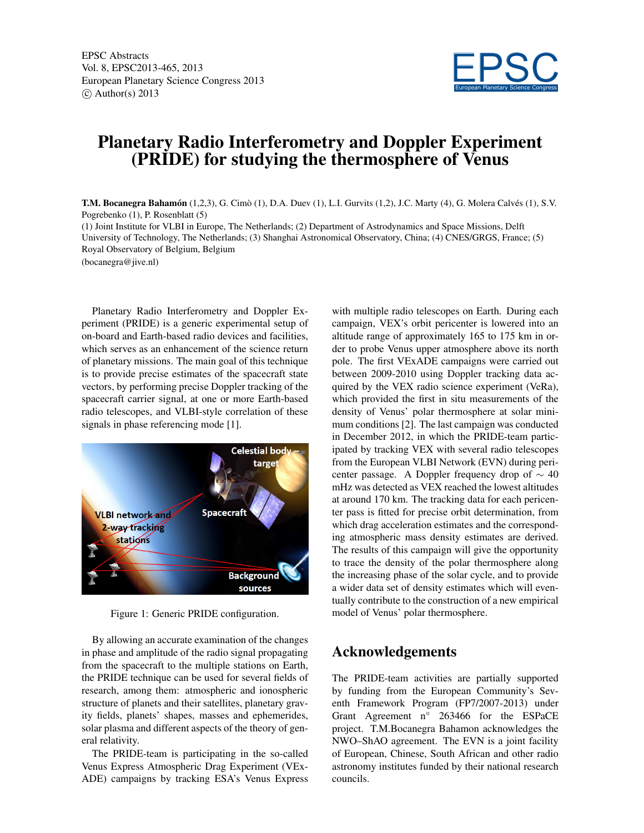

## Planetary Radio Interferometry and Doppler Experiment (PRIDE) for studying the thermosphere of Venus

T.M. Bocanegra Bahamón (1,2,3), G. Cimò (1), D.A. Duev (1), L.I. Gurvits (1,2), J.C. Marty (4), G. Molera Calvés (1), S.V. Pogrebenko (1), P. Rosenblatt (5)

(1) Joint Institute for VLBI in Europe, The Netherlands; (2) Department of Astrodynamics and Space Missions, Delft University of Technology, The Netherlands; (3) Shanghai Astronomical Observatory, China; (4) CNES/GRGS, France; (5) Royal Observatory of Belgium, Belgium

(bocanegra@jive.nl)

Planetary Radio Interferometry and Doppler Experiment (PRIDE) is a generic experimental setup of on-board and Earth-based radio devices and facilities, which serves as an enhancement of the science return of planetary missions. The main goal of this technique is to provide precise estimates of the spacecraft state vectors, by performing precise Doppler tracking of the spacecraft carrier signal, at one or more Earth-based radio telescopes, and VLBI-style correlation of these signals in phase referencing mode [1].



Figure 1: Generic PRIDE configuration.

By allowing an accurate examination of the changes in phase and amplitude of the radio signal propagating from the spacecraft to the multiple stations on Earth, the PRIDE technique can be used for several fields of research, among them: atmospheric and ionospheric structure of planets and their satellites, planetary gravity fields, planets' shapes, masses and ephemerides, solar plasma and different aspects of the theory of general relativity.

The PRIDE-team is participating in the so-called Venus Express Atmospheric Drag Experiment (VEx-ADE) campaigns by tracking ESA's Venus Express with multiple radio telescopes on Earth. During each campaign, VEX's orbit pericenter is lowered into an altitude range of approximately 165 to 175 km in order to probe Venus upper atmosphere above its north pole. The first VExADE campaigns were carried out between 2009-2010 using Doppler tracking data acquired by the VEX radio science experiment (VeRa), which provided the first in situ measurements of the density of Venus' polar thermosphere at solar minimum conditions [2]. The last campaign was conducted in December 2012, in which the PRIDE-team participated by tracking VEX with several radio telescopes from the European VLBI Network (EVN) during pericenter passage. A Doppler frequency drop of  $\sim$  40 mHz was detected as VEX reached the lowest altitudes at around 170 km. The tracking data for each pericenter pass is fitted for precise orbit determination, from which drag acceleration estimates and the corresponding atmospheric mass density estimates are derived. The results of this campaign will give the opportunity to trace the density of the polar thermosphere along the increasing phase of the solar cycle, and to provide a wider data set of density estimates which will eventually contribute to the construction of a new empirical model of Venus' polar thermosphere.

## Acknowledgements

The PRIDE-team activities are partially supported by funding from the European Community's Seventh Framework Program (FP7/2007-2013) under Grant Agreement n° 263466 for the ESPaCE project. T.M.Bocanegra Bahamon acknowledges the NWO–ShAO agreement. The EVN is a joint facility of European, Chinese, South African and other radio astronomy institutes funded by their national research councils.